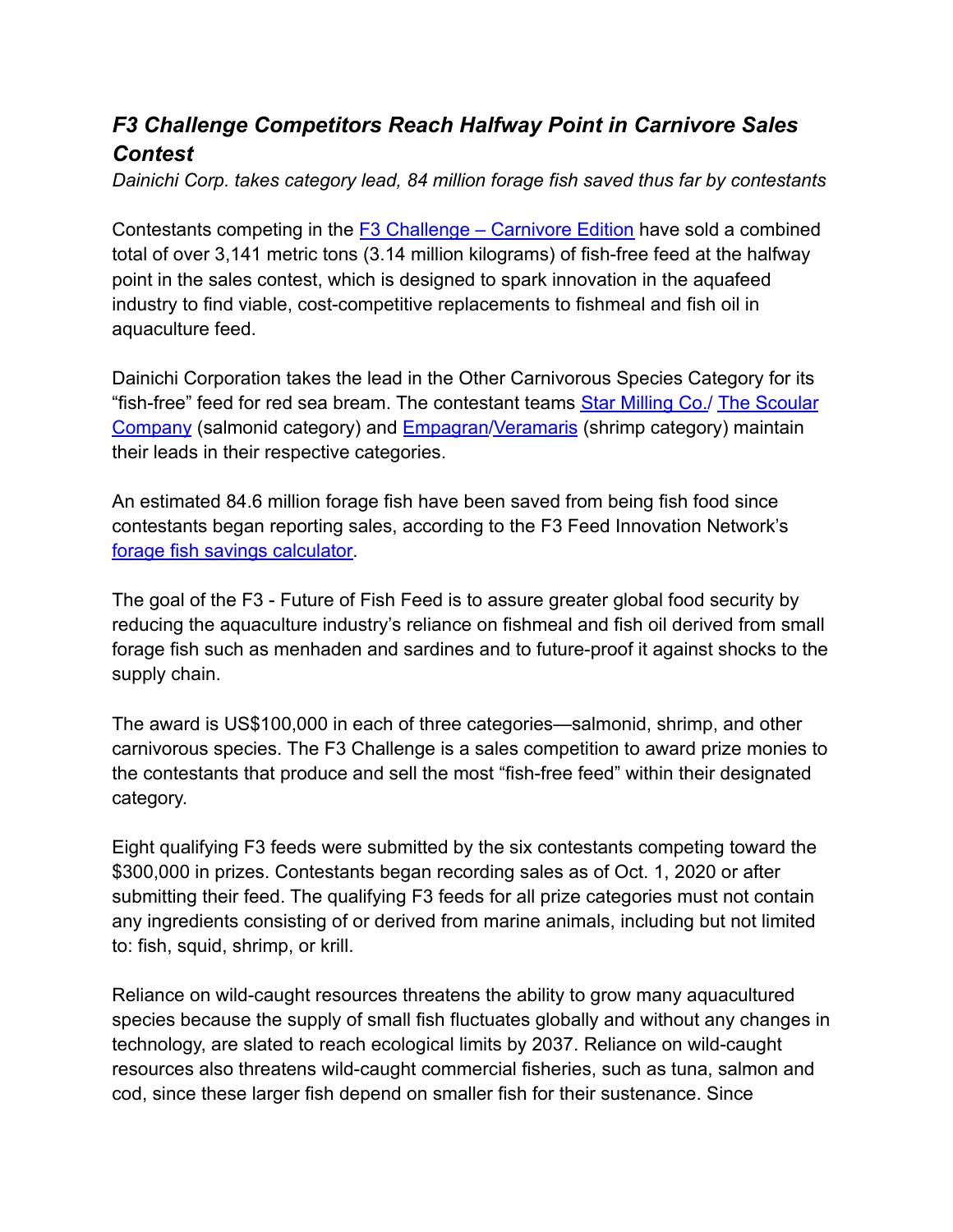## *F3 Challenge Competitors Reach Halfway Point in Carnivore Sales Contest*

*Dainichi Corp. takes category lead, 84 million forage fish saved thus far by contestants*

Contestants competing in the **F3 Challenge** – Carnivore Edition have sold a combined total of over 3,141 metric tons (3.14 million kilograms) of fish-free feed at the halfway point in the sales contest, which is designed to spark innovation in the aquafeed industry to find viable, cost-competitive replacements to fishmeal and fish oil in aquaculture feed.

Dainichi Corporation takes the lead in the Other Carnivorous Species Category for its "fish-free" feed for red sea bream. The contestant teams [Star Milling Co./](https://starmilling.com/) [The Scoular](https://www.scoular.com/) [Company](https://www.scoular.com/) (salmonid category) and [Empagran](https://www.empagran.com/)[/Veramaris](https://www.veramaris.com/home.html) (shrimp category) maintain their leads in their respective categories.

An estimated 84.6 million forage fish have been saved from being fish food since contestants began reporting sales, according to the F3 Feed Innovation Network's [forage fish savings calculator.](https://f3fin.org/calc/)

The goal of the F3 - Future of Fish Feed is to assure greater global food security by reducing the aquaculture industry's reliance on fishmeal and fish oil derived from small forage fish such as menhaden and sardines and to future-proof it against shocks to the supply chain.

The award is US\$100,000 in each of three categories—salmonid, shrimp, and other carnivorous species. The F3 Challenge is a sales competition to award prize monies to the contestants that produce and sell the most "fish-free feed" within their designated category.

Eight qualifying F3 feeds were submitted by the six contestants competing toward the \$300,000 in prizes. Contestants began recording sales as of Oct. 1, 2020 or after submitting their feed. The qualifying F3 feeds for all prize categories must not contain any ingredients consisting of or derived from marine animals, including but not limited to: fish, squid, shrimp, or krill.

Reliance on wild-caught resources threatens the ability to grow many aquacultured species because the supply of small fish fluctuates globally and without any changes in technology, are slated to reach ecological limits by 2037. Reliance on wild-caught resources also threatens wild-caught commercial fisheries, such as tuna, salmon and cod, since these larger fish depend on smaller fish for their sustenance. Since